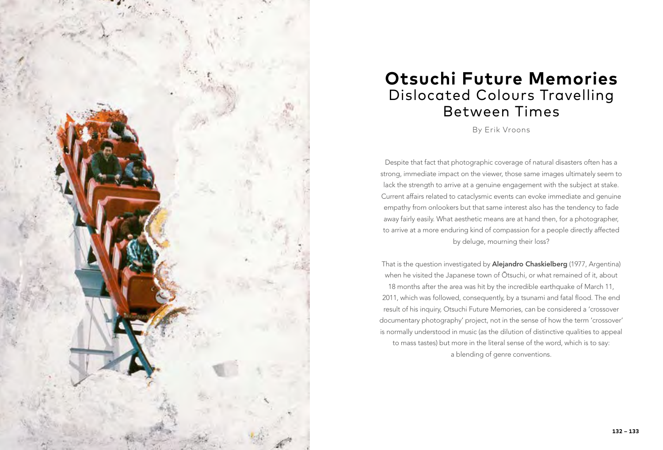

# **Otsuchi Future Memories** Dislocated Colours Travelling Between Times

By Erik Vroons

Despite that fact that photographic coverage of natural disasters often has a strong, immediate impact on the viewer, those same images ultimately seem to lack the strength to arrive at a genuine engagement with the subject at stake. Current affairs related to cataclysmic events can evoke immediate and genuine empathy from onlookers but that same interest also has the tendency to fade away fairly easily. What aesthetic means are at hand then, for a photographer, to arrive at a more enduring kind of compassion for a people directly affected by deluge, mourning their loss?

That is the question investigated by **Alejandro Chaskielberg** (1977, Argentina) when he visited the Japanese town of Otsuchi, or what remained of it, about 18 months after the area was hit by the incredible earthquake of March 11, 2011, which was followed, consequently, by a tsunami and fatal flood. The end result of his inquiry, Otsuchi Future Memories, can be considered a 'crossover documentary photography' project, not in the sense of how the term 'crossover' is normally understood in music (as the dilution of distinctive qualities to appeal to mass tastes) but more in the literal sense of the word, which is to say: a blending of genre conventions.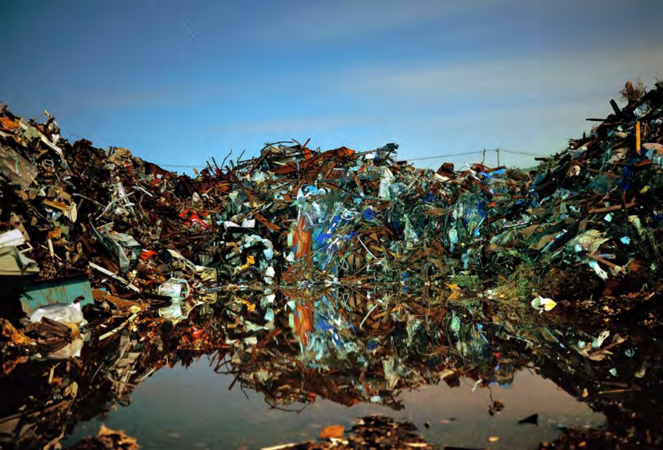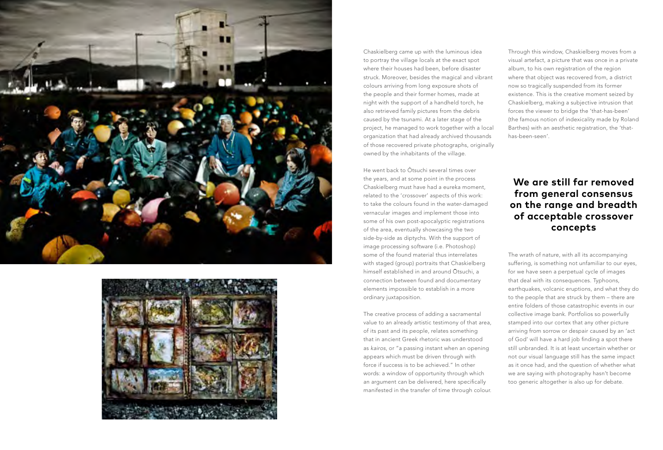



Chaskielberg came up with the luminous idea to portray the village locals at the exact spot where their houses had been, before disaster struck. Moreover, besides the magical and vibrant colours arriving from long exposure shots of the people and their former homes, made at night with the support of a handheld torch, he also retrieved family pictures from the debris caused by the tsunami. At a later stage of the project, he managed to work together with a local organization that had already archived thousands of those recovered private photographs, originally owned by the inhabitants of the village.

He went back to Ôtsuchi several times over the years, and at some point in the process Chaskielberg must have had a eureka moment, related to the 'crossover' aspects of this work: to take the colours found in the water-damaged vernacular images and implement those into some of his own post-apocalyptic registrations of the area, eventually showcasing the two side-by-side as diptychs. With the support of image processing software (i.e. Photoshop) some of the found material thus interrelates with staged (group) portraits that Chaskielberg himself established in and around Otsuchi, a connection between found and documentary elements impossible to establish in a more ordinary juxtaposition.

The creative process of adding a sacramental value to an already artistic testimony of that area, of its past and its people, relates something that in ancient Greek rhetoric was understood as *kairos*, or "a passing instant when an opening appears which must be driven through with force if success is to be achieved." In other words: a window of opportunity through which an argument can be delivered, here specifically manifested in the transfer of time through colour. Through this window, Chaskielberg moves from a visual artefact, a picture that was once in a private album, to his own registration of the region where that object was recovered from, a district now so tragically suspended from its former existence. This is the creative moment seized by Chaskielberg, making a subjective intrusion that forces the viewer to bridge the 'that-has-been' (the famous notion of indexicality made by Roland Barthes) with an aesthetic registration, the 'thathas-been-seen'.

## **We are still far removed from general consensus on the range and breadth of acceptable crossover concepts**

The wrath of nature, with all its accompanying suffering, is something not unfamiliar to our eyes, for we have seen a perpetual cycle of images that deal with its consequences. Typhoons, earthquakes, volcanic eruptions, and what they do to the people that are struck by them – there are entire folders of those catastrophic events in our collective image bank. Portfolios so powerfully stamped into our cortex that any other picture arriving from sorrow or despair caused by an 'act of God' will have a hard job finding a spot there still unbranded. It is at least uncertain whether or not our visual language still has the same impact as it once had, and the question of whether what we are saying with photography hasn't become too generic altogether is also up for debate.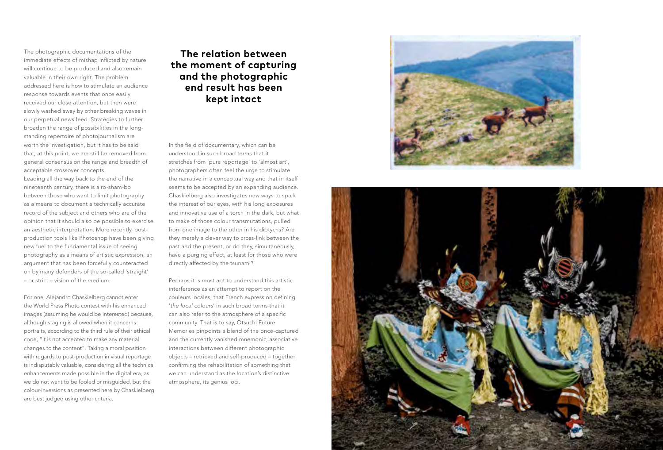The photographic documentations of the immediate effects of mishap inflicted by nature will continue to be produced and also remain valuable in their own right. The problem addressed here is how to stimulate an audience response towards events that once easily received our close attention, but then were slowly washed away by other breaking waves in our perpetual news feed. Strategies to further broaden the range of possibilities in the longstanding repertoire of photojournalism are worth the investigation, but it has to be said that, at this point, we are still far removed from general consensus on the range and breadth of acceptable crossover concepts.

Leading all the way back to the end of the nineteenth century, there is a ro-sham-bo between those who want to limit photography as a means to document a technically accurate record of the subject and others who are of the opinion that it should also be possible to exercise an aesthetic interpretation. More recently, postproduction tools like Photoshop have been giving new fuel to the fundamental issue of seeing photography as a means of artistic expression, an argument that has been forcefully counteracted on by many defenders of the so-called 'straight' – or strict – vision of the medium.

For one, Alejandro Chaskielberg cannot enter the World Press Photo contest with his enhanced images (assuming he would be interested) because, although staging is allowed when it concerns portraits, according to the third rule of their ethical code, "it is not accepted to make any material changes to the content". Taking a moral position with regards to post-production in visual reportage is indisputably valuable, considering all the technical enhancements made possible in the digital era, as we do not want to be fooled or misguided, but the colour-inversions as presented here by Chaskielberg are best judged using other criteria.

### **The relation between the moment of capturing and the photographic end result has been kept intact**

In the field of documentary, which can be understood in such broad terms that it stretches from 'pure reportage' to 'almost art', photographers often feel the urge to stimulate the narrative in a conceptual way and that in itself seems to be accepted by an expanding audience. Chaskielberg also investigates new ways to spark the interest of our eyes, with his long exposures and innovative use of a torch in the dark, but what to make of those colour transmutations, pulled from one image to the other in his diptychs? Are they merely a clever way to cross-link between the past and the present, or do they, simultaneously, have a purging effect, at least for those who were directly affected by the tsunami?

Perhaps it is most apt to understand this artistic interference as an attempt to report on the couleurs locales, that French expression defining '*the local colours*' in such broad terms that it can also refer to the atmosphere of a specific community. That is to say, Otsuchi Future Memories pinpoints a blend of the once-captured and the currently vanished mnemonic, associative interactions between different photographic objects – retrieved and self-produced – together confirming the rehabilitation of something that we can understand as the location's distinctive atmosphere, its genius loci.



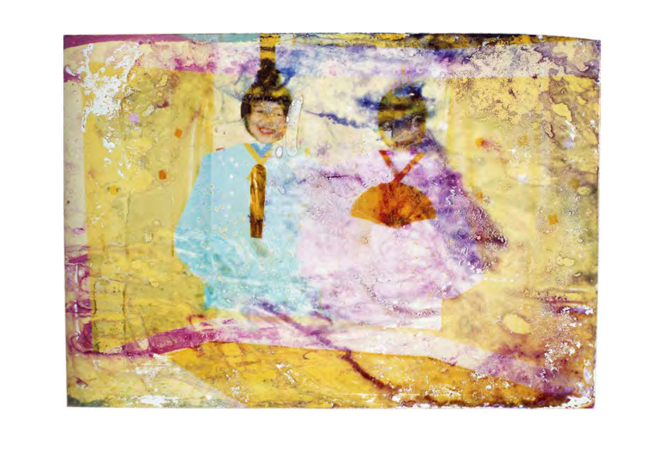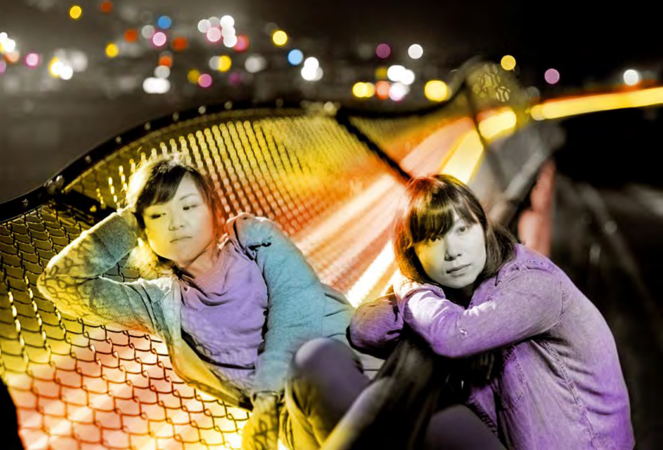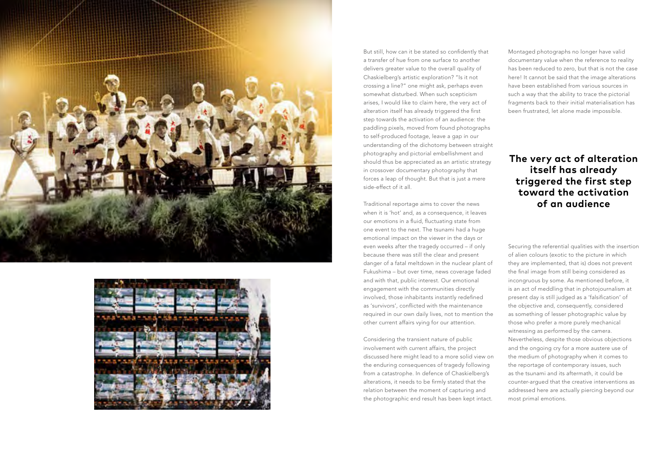



But still, how can it be stated so confidently that a transfer of hue from one surface to another delivers greater value to the overall quality of Chaskielberg's artistic exploration? "Is it not crossing a line?" one might ask, perhaps even somewhat disturbed. When such scepticism arises, I would like to claim here, the very act of alteration itself has already triggered the first step towards the activation of an audience: the paddling pixels, moved from found photographs to self-produced footage, leave a gap in our understanding of the dichotomy between straight photography and pictorial embellishment and should thus be appreciated as an artistic strategy in crossover documentary photography that forces a leap of thought. But that is just a mere side-effect of it all.

Traditional reportage aims to cover the news when it is 'hot' and, as a consequence, it leaves our emotions in a fluid, fluctuating state from one event to the next. The tsunami had a huge emotional impact on the viewer in the days or even weeks after the tragedy occurred – if only because there was still the clear and present danger of a fatal meltdown in the nuclear plant of Fukushima – but over time, news coverage faded and with that, public interest. Our emotional engagement with the communities directly involved, those inhabitants instantly redefined as 'survivors', conflicted with the maintenance required in our own daily lives, not to mention the other current affairs vying for our attention.

Considering the transient nature of public involvement with current affairs, the project discussed here might lead to a more solid view on the enduring consequences of tragedy following from a catastrophe. In defence of Chaskielberg's alterations, it needs to be firmly stated that the relation between the moment of capturing and the photographic end result has been kept intact.

Montaged photographs no longer have valid documentary value when the reference to reality has been reduced to zero, but that is not the case here! It cannot be said that the image alterations have been established from various sources in such a way that the ability to trace the pictorial fragments back to their initial materialisation has been frustrated, let alone made impossible.

#### **The very act of alteration itself has already triggered the first step toward the activation of an audience**

Securing the referential qualities with the insertion of alien colours (exotic to the picture in which they are implemented, that is) does not prevent the final image from still being considered as incongruous by some. As mentioned before, it is an act of meddling that in photojournalism at present day is still judged as a 'falsification' of the objective and, consequently, considered as something of lesser photographic value by those who prefer a more purely mechanical witnessing as performed by the camera. Nevertheless, despite those obvious objections and the ongoing cry for a more austere use of the medium of photography when it comes to the reportage of contemporary issues, such as the tsunami and its aftermath, it could be counter-argued that the creative interventions as addressed here are actually piercing beyond our most primal emotions.